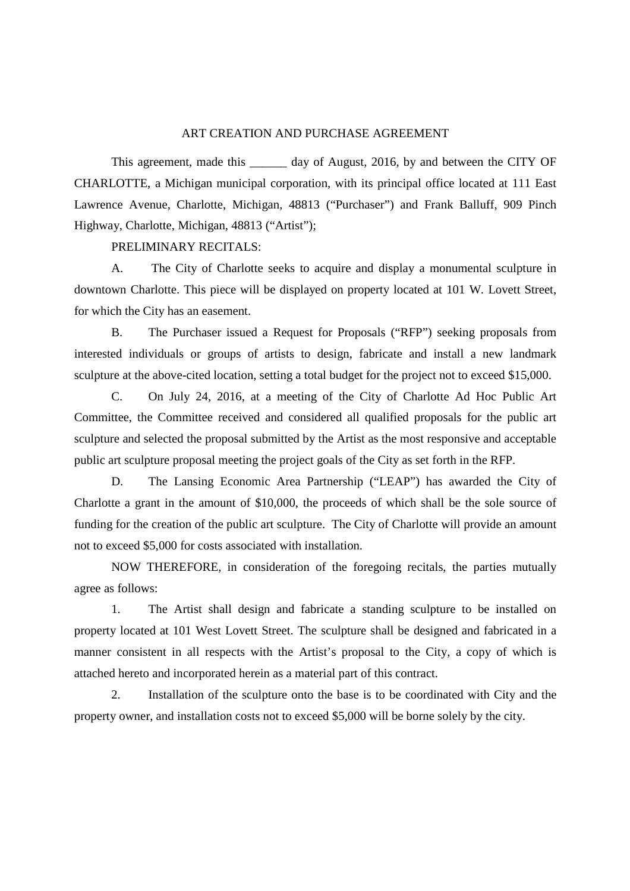## ART CREATION AND PURCHASE AGREEMENT

This agreement, made this \_\_\_\_\_\_\_ day of August, 2016, by and between the CITY OF CHARLOTTE, a Michigan municipal corporation, with its principal office located at 111 East Lawrence Avenue, Charlotte, Michigan, 48813 ("Purchaser") and Frank Balluff, 909 Pinch Highway, Charlotte, Michigan, 48813 ("Artist");

## PRELIMINARY RECITALS:

A. The City of Charlotte seeks to acquire and display a monumental sculpture in downtown Charlotte. This piece will be displayed on property located at 101 W. Lovett Street, for which the City has an easement.

B. The Purchaser issued a Request for Proposals ("RFP") seeking proposals from interested individuals or groups of artists to design, fabricate and install a new landmark sculpture at the above-cited location, setting a total budget for the project not to exceed \$15,000.

C. On July 24, 2016, at a meeting of the City of Charlotte Ad Hoc Public Art Committee, the Committee received and considered all qualified proposals for the public art sculpture and selected the proposal submitted by the Artist as the most responsive and acceptable public art sculpture proposal meeting the project goals of the City as set forth in the RFP.

D. The Lansing Economic Area Partnership ("LEAP") has awarded the City of Charlotte a grant in the amount of \$10,000, the proceeds of which shall be the sole source of funding for the creation of the public art sculpture. The City of Charlotte will provide an amount not to exceed \$5,000 for costs associated with installation.

NOW THEREFORE, in consideration of the foregoing recitals, the parties mutually agree as follows:

1. The Artist shall design and fabricate a standing sculpture to be installed on property located at 101 West Lovett Street. The sculpture shall be designed and fabricated in a manner consistent in all respects with the Artist's proposal to the City, a copy of which is attached hereto and incorporated herein as a material part of this contract.

2. Installation of the sculpture onto the base is to be coordinated with City and the property owner, and installation costs not to exceed \$5,000 will be borne solely by the city.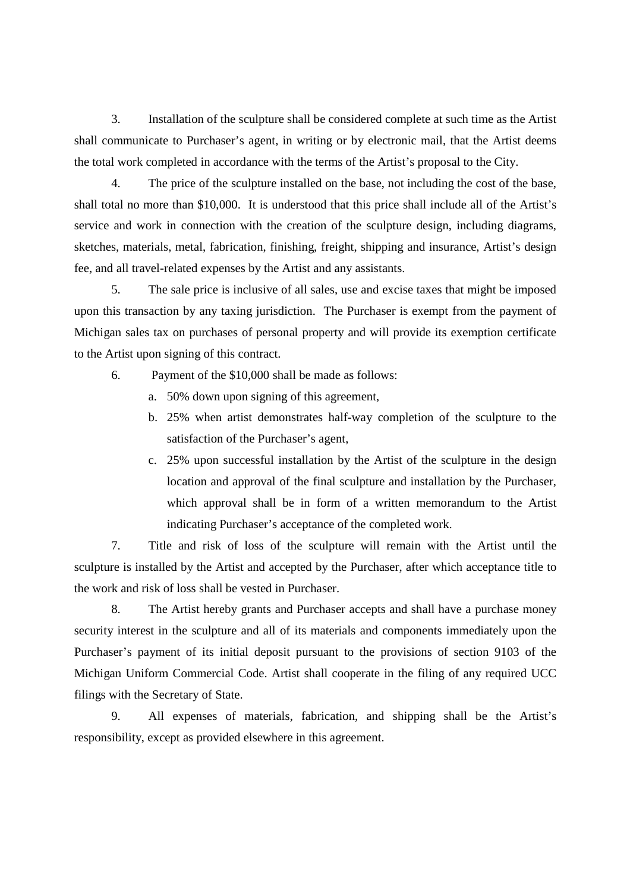3. Installation of the sculpture shall be considered complete at such time as the Artist shall communicate to Purchaser's agent, in writing or by electronic mail, that the Artist deems the total work completed in accordance with the terms of the Artist's proposal to the City.

4. The price of the sculpture installed on the base, not including the cost of the base, shall total no more than \$10,000. It is understood that this price shall include all of the Artist's service and work in connection with the creation of the sculpture design, including diagrams, sketches, materials, metal, fabrication, finishing, freight, shipping and insurance, Artist's design fee, and all travel-related expenses by the Artist and any assistants.

5. The sale price is inclusive of all sales, use and excise taxes that might be imposed upon this transaction by any taxing jurisdiction. The Purchaser is exempt from the payment of Michigan sales tax on purchases of personal property and will provide its exemption certificate to the Artist upon signing of this contract.

- 6. Payment of the \$10,000 shall be made as follows:
	- a. 50% down upon signing of this agreement,
	- b. 25% when artist demonstrates half-way completion of the sculpture to the satisfaction of the Purchaser's agent,
	- c. 25% upon successful installation by the Artist of the sculpture in the design location and approval of the final sculpture and installation by the Purchaser, which approval shall be in form of a written memorandum to the Artist indicating Purchaser's acceptance of the completed work.

7. Title and risk of loss of the sculpture will remain with the Artist until the sculpture is installed by the Artist and accepted by the Purchaser, after which acceptance title to the work and risk of loss shall be vested in Purchaser.

8. The Artist hereby grants and Purchaser accepts and shall have a purchase money security interest in the sculpture and all of its materials and components immediately upon the Purchaser's payment of its initial deposit pursuant to the provisions of section 9103 of the Michigan Uniform Commercial Code. Artist shall cooperate in the filing of any required UCC filings with the Secretary of State.

9. All expenses of materials, fabrication, and shipping shall be the Artist's responsibility, except as provided elsewhere in this agreement.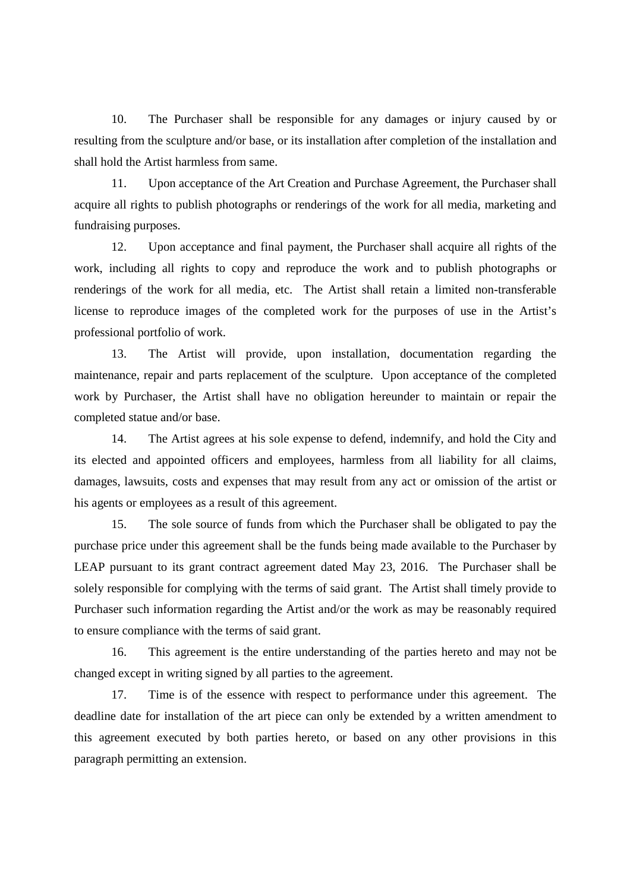10. The Purchaser shall be responsible for any damages or injury caused by or resulting from the sculpture and/or base, or its installation after completion of the installation and shall hold the Artist harmless from same.

11. Upon acceptance of the Art Creation and Purchase Agreement, the Purchaser shall acquire all rights to publish photographs or renderings of the work for all media, marketing and fundraising purposes.

12. Upon acceptance and final payment, the Purchaser shall acquire all rights of the work, including all rights to copy and reproduce the work and to publish photographs or renderings of the work for all media, etc. The Artist shall retain a limited non-transferable license to reproduce images of the completed work for the purposes of use in the Artist's professional portfolio of work.

13. The Artist will provide, upon installation, documentation regarding the maintenance, repair and parts replacement of the sculpture. Upon acceptance of the completed work by Purchaser, the Artist shall have no obligation hereunder to maintain or repair the completed statue and/or base.

14. The Artist agrees at his sole expense to defend, indemnify, and hold the City and its elected and appointed officers and employees, harmless from all liability for all claims, damages, lawsuits, costs and expenses that may result from any act or omission of the artist or his agents or employees as a result of this agreement.

15. The sole source of funds from which the Purchaser shall be obligated to pay the purchase price under this agreement shall be the funds being made available to the Purchaser by LEAP pursuant to its grant contract agreement dated May 23, 2016. The Purchaser shall be solely responsible for complying with the terms of said grant. The Artist shall timely provide to Purchaser such information regarding the Artist and/or the work as may be reasonably required to ensure compliance with the terms of said grant.

16. This agreement is the entire understanding of the parties hereto and may not be changed except in writing signed by all parties to the agreement.

17. Time is of the essence with respect to performance under this agreement. The deadline date for installation of the art piece can only be extended by a written amendment to this agreement executed by both parties hereto, or based on any other provisions in this paragraph permitting an extension.